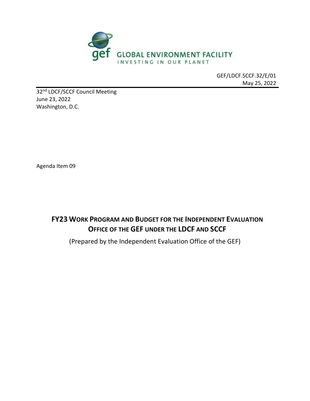

GEF/LDCF.SCCF.32/E/01 May 25, 2022

32<sup>nd</sup> LDCF/SCCF Council Meeting June 23, 2022 Washington, D.C.

Agenda Item 09

**FY23 WORK PROGRAM AND BUDGET FOR THE INDEPENDENT EVALUATION OFFICE OF THE GEF UNDER THE LDCF AND SCCF**

(Prepared by the Independent Evaluation Office of the GEF)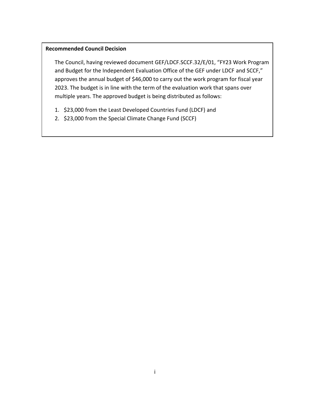#### **Recommended Council Decision**

The Council, having reviewed document GEF/LDCF.SCCF.32/E/01, "FY23 Work Program and Budget for the Independent Evaluation Office of the GEF under LDCF and SCCF," approves the annual budget of \$46,000 to carry out the work program for fiscal year 2023. The budget is in line with the term of the evaluation work that spans over multiple years. The approved budget is being distributed as follows:

- 1. \$23,000 from the Least Developed Countries Fund (LDCF) and
- 2. \$23,000 from the Special Climate Change Fund (SCCF)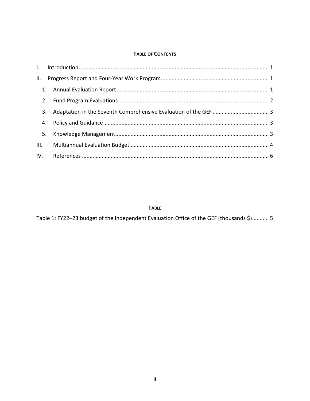#### **TABLE OF CONTENTS**

| 3. |  |  |
|----|--|--|
|    |  |  |
|    |  |  |
|    |  |  |
|    |  |  |

#### **TABLE**

Table 1: FY22-23 budget of the Independent Evaluation Office of the GEF (thousands \$)........... 5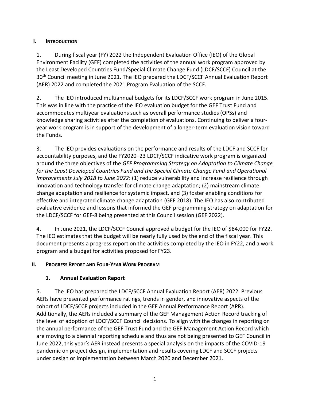## <span id="page-3-0"></span>**I. INTRODUCTION**

1. During fiscal year (FY) 2022 the Independent Evaluation Office (IEO) of the Global Environment Facility (GEF) completed the activities of the annual work program approved by the Least Developed Countries Fund/Special Climate Change Fund (LDCF/SCCF) Council at the 30<sup>th</sup> Council meeting in June 2021. The IEO prepared the LDCF/SCCF Annual Evaluation Report (AER) 2022 and completed the 2021 Program Evaluation of the SCCF.

2. The IEO introduced multiannual budgets for its LDCF/SCCF work program in June 2015. This was in line with the practice of the IEO evaluation budget for the GEF Trust Fund and accommodates multiyear evaluations such as overall performance studies (OPSs) and knowledge sharing activities after the completion of evaluations. Continuing to deliver a fouryear work program is in support of the development of a longer-term evaluation vision toward the Funds.

3. The IEO provides evaluations on the performance and results of the LDCF and SCCF for accountability purposes, and the FY2020–23 LDCF/SCCF indicative work program is organized around the three objectives of the *GEF Programming Strategy on Adaptation to Climate Change for the Least Developed Countries Fund and the Special Climate Change Fund and Operational Improvements July 2018 to June 2022*: (1) reduce vulnerability and increase resilience through innovation and technology transfer for climate change adaptation; (2) mainstream climate change adaptation and resilience for systemic impact, and (3) foster enabling conditions for effective and integrated climate change adaptation (GEF 2018). The IEO has also contributed evaluative evidence and lessons that informed the GEF programming strategy on adaptation for the LDCF/SCCF for GEF-8 being presented at this Council session (GEF 2022).

4. In June 2021, the LDCF/SCCF Council approved a budget for the IEO of \$84,000 for FY22. The IEO estimates that the budget will be nearly fully used by the end of the fiscal year. This document presents a progress report on the activities completed by the IEO in FY22, and a work program and a budget for activities proposed for FY23.

### <span id="page-3-1"></span>**II. PROGRESS REPORT AND FOUR-YEAR WORK PROGRAM**

# <span id="page-3-2"></span>**1. Annual Evaluation Report**

5. The IEO has prepared the LDCF/SCCF Annual Evaluation Report (AER) 2022. Previous AERs have presented performance ratings, trends in gender, and innovative aspects of the cohort of LDCF/SCCF projects included in the GEF Annual Performance Report (APR). Additionally, the AERs included a summary of the GEF Management Action Record tracking of the level of adoption of LDCF/SCCF Council decisions. To align with the changes in reporting on the annual performance of the GEF Trust Fund and the GEF Management Action Record which are moving to a biennial reporting schedule and thus are not being presented to GEF Council in June 2022, this year's AER instead presents a special analysis on the impacts of the COVID-19 pandemic on project design, implementation and results covering LDCF and SCCF projects under design or implementation between March 2020 and December 2021.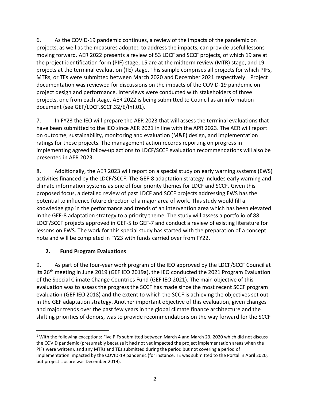6. As the COVID-19 pandemic continues, a review of the impacts of the pandemic on projects, as well as the measures adopted to address the impacts, can provide useful lessons moving forward. AER 2022 presents a review of 53 LDCF and SCCF projects, of which 19 are at the project identification form (PIF) stage, 15 are at the midterm review (MTR) stage, and 19 projects at the terminal evaluation (TE) stage. This sample comprises all projects for which PIFs, MTRs, or TEs were submitted between March 2020 and December 2021 respectively.<sup>1</sup> Project documentation was reviewed for discussions on the impacts of the COVID-19 pandemic on project design and performance. Interviews were conducted with stakeholders of three projects, one from each stage. AER 2022 is being submitted to Council as an information document (see GEF/LDCF.SCCF.32/E/Inf.01).

7. In FY23 the IEO will prepare the AER 2023 that will assess the terminal evaluations that have been submitted to the IEO since AER 2021 in line with the APR 2023. The AER will report on outcome, sustainability, monitoring and evaluation (M&E) design, and implementation ratings for these projects. The management action records reporting on progress in implementing agreed follow-up actions to LDCF/SCCF evaluation recommendations will also be presented in AER 2023.

8. Additionally, the AER 2023 will report on a special study on early warning systems (EWS) activities financed by the LDCF/SCCF. The GEF-8 adaptation strategy includes early warning and climate information systems as one of four priority themes for LDCF and SCCF. Given this proposed focus, a detailed review of past LDCF and SCCF projects addressing EWS has the potential to influence future direction of a major area of work. This study would fill a knowledge gap in the performance and trends of an intervention area which has been elevated in the GEF-8 adaptation strategy to a priority theme. The study will assess a portfolio of 88 LDCF/SCCF projects approved in GEF-5 to GEF-7 and conduct a review of existing literature for lessons on EWS. The work for this special study has started with the preparation of a concept note and will be completed in FY23 with funds carried over from FY22.

### <span id="page-4-0"></span>**2. Fund Program Evaluations**

9. As part of the four-year work program of the IEO approved by the LDCF/SCCF Council at its 26<sup>th</sup> meeting in June 2019 (GEF IEO 2019a), the IEO conducted the 2021 Program Evaluation of the Special Climate Change Countries Fund (GEF IEO 2021). The main objective of this evaluation was to assess the progress the SCCF has made since the most recent SCCF program evaluation (GEF IEO 2018) and the extent to which the SCCF is achieving the objectives set out in the GEF adaptation strategy. Another important objective of this evaluation, given changes and major trends over the past few years in the global climate finance architecture and the shifting priorities of donors, was to provide recommendations on the way forward for the SCCF

<sup>&</sup>lt;sup>1</sup> With the following exceptions: Five PIFs submitted between March 4 and March 23, 2020 which did not discuss the COVID pandemic (presumably because it had not yet impacted the project implementation areas when the PIFs were written), and any MTRs and TEs submitted during the period but not covering a period of implementation impacted by the COVID-19 pandemic (for instance, TE was submitted to the Portal in April 2020, but project closure was December 2019).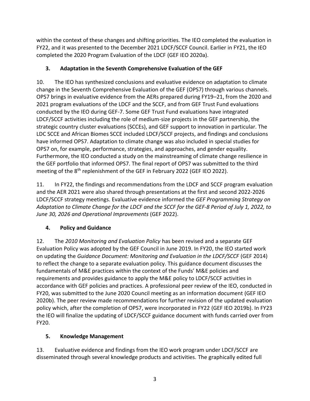within the context of these changes and shifting priorities. The IEO completed the evaluation in FY22, and it was presented to the December 2021 LDCF/SCCF Council. Earlier in FY21, the IEO completed the 2020 Program Evaluation of the LDCF (GEF IEO 2020a).

## <span id="page-5-0"></span>**3. Adaptation in the Seventh Comprehensive Evaluation of the GEF**

10. The IEO has synthesized conclusions and evaluative evidence on adaptation to climate change in the Seventh Comprehensive Evaluation of the GEF (OPS7) through various channels. OPS7 brings in evaluative evidence from the AERs prepared during FY19–21, from the 2020 and 2021 program evaluations of the LDCF and the SCCF, and from GEF Trust Fund evaluations conducted by the IEO during GEF-7. Some GEF Trust Fund evaluations have integrated LDCF/SCCF activities including the role of medium-size projects in the GEF partnership, the strategic country cluster evaluations (SCCEs), and GEF support to innovation in particular. The LDC SCCE and African Biomes SCCE included LDCF/SCCF projects, and findings and conclusions have informed OPS7. Adaptation to climate change was also included in special studies for OPS7 on, for example, performance, strategies, and approaches, and gender equality. Furthermore, the IEO conducted a study on the mainstreaming of climate change resilience in the GEF portfolio that informed OPS7. The final report of OPS7 was submitted to the third meeting of the 8<sup>th</sup> replenishment of the GEF in February 2022 (GEF IEO 2022).

11. In FY22, the findings and recommendations from the LDCF and SCCF program evaluation and the AER 2021 were also shared through presentations at the first and second 2022-2026 LDCF/SCCF strategy meetings. Evaluative evidence informed the *GEF Programming Strategy on Adaptation to Climate Change for the LDCF and the SCCF for the GEF-8 Period of July 1, 2022, to June 30, 2026 and Operational Improvements* (GEF 2022).

# <span id="page-5-1"></span>**4. Policy and Guidance**

12. The *2010 Monitoring and Evaluation Policy* has been revised and a separate GEF Evaluation Policy was adopted by the GEF Council in June 2019. In FY20, the IEO started work on updating the *Guidance Document: Monitoring and Evaluation in the LDCF/SCCF* (GEF 2014) to reflect the change to a separate evaluation policy. This guidance document discusses the fundamentals of M&E practices within the context of the Funds' M&E policies and requirements and provides guidance to apply the M&E policy to LDCF/SCCF activities in accordance with GEF policies and practices. A professional peer review of the IEO, conducted in FY20, was submitted to the June 2020 Council meeting as an information document (GEF IEO 2020b). The peer review made recommendations for further revision of the updated evaluation policy which, after the completion of OPS7, were incorporated in FY22 (GEF IEO 2019b). In FY23 the IEO will finalize the updating of LDCF/SCCF guidance document with funds carried over from FY20.

# <span id="page-5-2"></span>**5. Knowledge Management**

13. Evaluative evidence and findings from the IEO work program under LDCF/SCCF are disseminated through several knowledge products and activities. The graphically edited full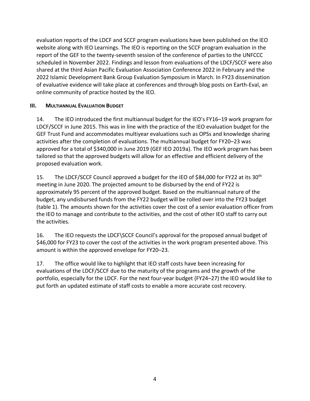evaluation reports of the LDCF and SCCF program evaluations have been published on the IEO website along with IEO Learnings. The IEO is reporting on the SCCF program evaluation in the report of the GEF to the twenty-seventh session of the conference of parties to the UNFCCC scheduled in November 2022. Findings and lesson from evaluations of the LDCF/SCCF were also shared at the third Asian Pacific Evaluation Association Conference 2022 in February and the 2022 Islamic Development Bank Group Evaluation Symposium in March. In FY23 dissemination of evaluative evidence will take place at conferences and through blog posts on Earth-Eval, an online community of practice hosted by the IEO.

#### <span id="page-6-0"></span>**III. MULTIANNUAL EVALUATION BUDGET**

14. The IEO introduced the first multiannual budget for the IEO's FY16–19 work program for LDCF/SCCF in June 2015. This was in line with the practice of the IEO evaluation budget for the GEF Trust Fund and accommodates multiyear evaluations such as OPSs and knowledge sharing activities after the completion of evaluations. The multiannual budget for FY20–23 was approved for a total of \$340,000 in June 2019 (GEF IEO 2019a). The IEO work program has been tailored so that the approved budgets will allow for an effective and efficient delivery of the proposed evaluation work.

15. The LDCF/SCCF Council approved a budget for the IEO of \$84,000 for FY22 at its 30<sup>th</sup> meeting in June 2020. The projected amount to be disbursed by the end of FY22 is approximately 95 percent of the approved budget. Based on the multiannual nature of the budget, any undisbursed funds from the FY22 budget will be rolled over into the FY23 budget (table 1). The amounts shown for the activities cover the cost of a senior evaluation officer from the IEO to manage and contribute to the activities, and the cost of other IEO staff to carry out the activities.

16. The IEO requests the LDCF\SCCF Council's approval for the proposed annual budget of \$46,000 for FY23 to cover the cost of the activities in the work program presented above. This amount is within the approved envelope for FY20–23.

17. The office would like to highlight that IEO staff costs have been increasing for evaluations of the LDCF/SCCF due to the maturity of the programs and the growth of the portfolio, especially for the LDCF. For the next four-year budget (FY24–27) the IEO would like to put forth an updated estimate of staff costs to enable a more accurate cost recovery.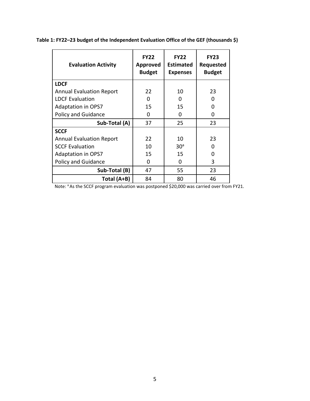| <b>Evaluation Activity</b>      | <b>FY22</b><br>Approved<br><b>Budget</b> | <b>FY22</b><br><b>Estimated</b><br><b>Expenses</b> | <b>FY23</b><br>Requested<br><b>Budget</b> |
|---------------------------------|------------------------------------------|----------------------------------------------------|-------------------------------------------|
| <b>LDCF</b>                     |                                          |                                                    |                                           |
| <b>Annual Evaluation Report</b> | 22                                       | 10                                                 | 23                                        |
| <b>LDCF Evaluation</b>          | 0                                        | 0                                                  | O                                         |
| <b>Adaptation in OPS7</b>       | 15                                       | 15                                                 | 0                                         |
| <b>Policy and Guidance</b>      | 0                                        | 0                                                  | 0                                         |
| Sub-Total (A)                   | 37                                       | 25                                                 | 23                                        |
| <b>SCCF</b>                     |                                          |                                                    |                                           |
| <b>Annual Evaluation Report</b> | 22                                       | 10                                                 | 23                                        |
| <b>SCCF Evaluation</b>          | 10                                       | 30 <sup>a</sup>                                    | O                                         |
| <b>Adaptation in OPS7</b>       | 15                                       | 15                                                 | O                                         |
| <b>Policy and Guidance</b>      | 0                                        | 0                                                  | 3                                         |
| Sub-Total (B)                   | 47                                       | 55                                                 | 23                                        |
| Total (A+B)                     | 84                                       | 80                                                 | 46                                        |

<span id="page-7-0"></span>**Table 1: FY22–23 budget of the Independent Evaluation Office of the GEF (thousands \$)**

Note: <sup>a</sup> As the SCCF program evaluation was postponed \$20,000 was carried over from FY21.